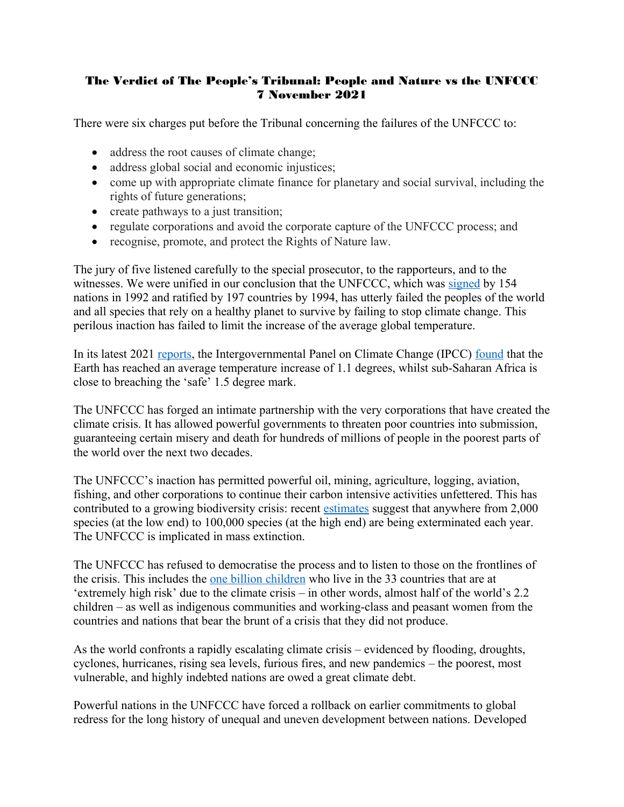## The Verdict of The People's Tribunal: People and Nature vs the UNFCCC 7 November 2021

There were six charges put before the Tribunal concerning the failures of the UNFCCC to:

- address the root causes of climate change;
- address global social and economic injustices;
- come up with appropriate climate finance for planetary and social survival, including the rights of future generations;
- create pathways to a just transition;
- regulate corporations and avoid the corporate capture of the UNFCCC process; and
- recognise, promote, and protect the Rights of Nature law.

The jury of five listened carefully to the special prosecutor, to the rapporteurs, and to the witnesses. We were unified in our conclusion that the UNFCCC, which was [signed](https://unfccc.int/process-and-meetings/the-convention/what-is-the-united-nations-framework-convention-on-climate-change) by 154 nations in 1992 and ratified by 197 countries by 1994, has utterly failed the peoples of the world and all species that rely on a healthy planet to survive by failing to stop climate change. This perilous inaction has failed to limit the increase of the average global temperature.

In its latest 2021 [reports,](https://www.ipcc.ch/sr15/) the Intergovernmental Panel on Climate Change (IPCC) [found](https://www.ipcc.ch/site/assets/uploads/sites/2/2019/06/SR15_Full_Report_High_Res.pdf) that the Earth has reached an average temperature increase of 1.1 degrees, whilst sub-Saharan Africa is close to breaching the 'safe' 1.5 degree mark.

The UNFCCC has forged an intimate partnership with the very corporations that have created the climate crisis. It has allowed powerful governments to threaten poor countries into submission, guaranteeing certain misery and death for hundreds of millions of people in the poorest parts of the world over the next two decades.

The UNFCCC's inaction has permitted powerful oil, mining, agriculture, logging, aviation, fishing, and other corporations to continue their carbon intensive activities unfettered. This has contributed to a growing biodiversity crisis: recent [estimates](https://wwf.panda.org/discover/our_focus/biodiversity/biodiversity/) suggest that anywhere from 2,000 species (at the low end) to 100,000 species (at the high end) are being exterminated each year. The UNFCCC is implicated in mass extinction.

The UNFCCC has refused to democratise the process and to listen to those on the frontlines of the crisis. This includes the [one billion children](https://www.unicef.org/press-releases/one-billion-children-extremely-high-risk-impacts-climate-crisis-unicef) who live in the 33 countries that are at 'extremely high risk' due to the climate crisis – in other words, almost half of the world's 2.2 children – as well as indigenous communities and working-class and peasant women from the countries and nations that bear the brunt of a crisis that they did not produce.

As the world confronts a rapidly escalating climate crisis – evidenced by flooding, droughts, cyclones, hurricanes, rising sea levels, furious fires, and new pandemics – the poorest, most vulnerable, and highly indebted nations are owed a great climate debt.

Powerful nations in the UNFCCC have forced a rollback on earlier commitments to global redress for the long history of unequal and uneven development between nations. Developed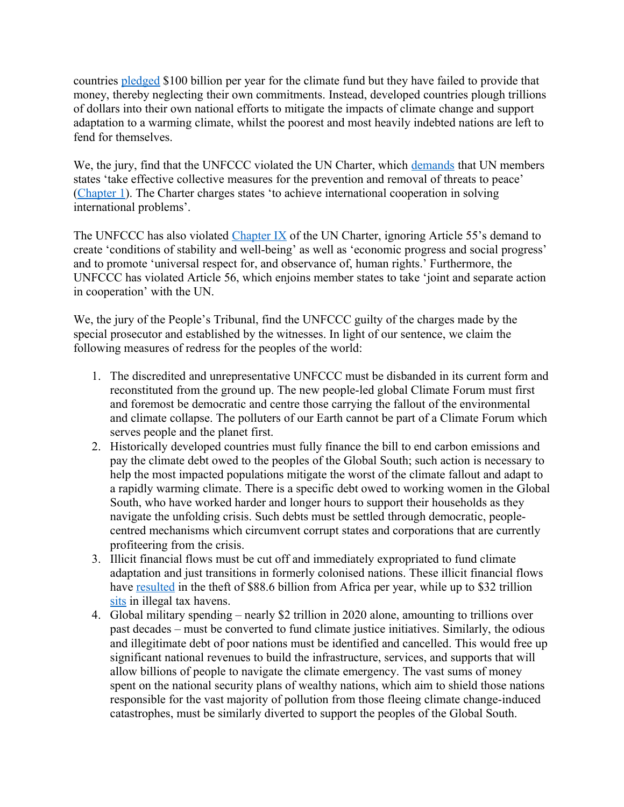countries [pledged](https://www.nature.com/articles/d41586-021-02846-3) \$100 billion per year for the climate fund but they have failed to provide that money, thereby neglecting their own commitments. Instead, developed countries plough trillions of dollars into their own national efforts to mitigate the impacts of climate change and support adaptation to a warming climate, whilst the poorest and most heavily indebted nations are left to fend for themselves.

We, the jury, find that the UNFCCC violated the UN Charter, which [demands](https://www.un.org/en/about-us/un-charter/full-text) that UN members states 'take effective collective measures for the prevention and removal of threats to peace' [\(Chapter 1\)](https://www.un.org/en/about-us/un-charter/chapter-1). The Charter charges states 'to achieve international cooperation in solving international problems'.

The UNFCCC has also violated [Chapter IX](https://www.un.org/en/about-us/un-charter/chapter-9) of the UN Charter, ignoring Article 55's demand to create 'conditions of stability and well-being' as well as 'economic progress and social progress' and to promote 'universal respect for, and observance of, human rights.' Furthermore, the UNFCCC has violated Article 56, which enjoins member states to take 'joint and separate action in cooperation' with the UN.

We, the jury of the People's Tribunal, find the UNFCCC guilty of the charges made by the special prosecutor and established by the witnesses. In light of our sentence, we claim the following measures of redress for the peoples of the world:

- 1. The discredited and unrepresentative UNFCCC must be disbanded in its current form and reconstituted from the ground up. The new people-led global Climate Forum must first and foremost be democratic and centre those carrying the fallout of the environmental and climate collapse. The polluters of our Earth cannot be part of a Climate Forum which serves people and the planet first.
- 2. Historically developed countries must fully finance the bill to end carbon emissions and pay the climate debt owed to the peoples of the Global South; such action is necessary to help the most impacted populations mitigate the worst of the climate fallout and adapt to a rapidly warming climate. There is a specific debt owed to working women in the Global South, who have worked harder and longer hours to support their households as they navigate the unfolding crisis. Such debts must be settled through democratic, peoplecentred mechanisms which circumvent corrupt states and corporations that are currently profiteering from the crisis.
- 3. Illicit financial flows must be cut off and immediately expropriated to fund climate adaptation and just transitions in formerly colonised nations. These illicit financial flows have [resulted](https://unctad.org/news/africa-could-gain-89-billion-annually-curbing-illicit-financial-flows) in the theft of \$88.6 billion from Africa per year, while up to \$32 trillion [sits](http://tjn-usa.org/storage/documents/The_Price_of_Offshore_Revisited_-_22-07-2012.pdf) in illegal tax havens.
- 4. Global military spending nearly \$2 trillion in 2020 alone, amounting to trillions over past decades – must be converted to fund climate justice initiatives. Similarly, the odious and illegitimate debt of poor nations must be identified and cancelled. This would free up significant national revenues to build the infrastructure, services, and supports that will allow billions of people to navigate the climate emergency. The vast sums of money spent on the national security plans of wealthy nations, which aim to shield those nations responsible for the vast majority of pollution from those fleeing climate change-induced catastrophes, must be similarly diverted to support the peoples of the Global South.